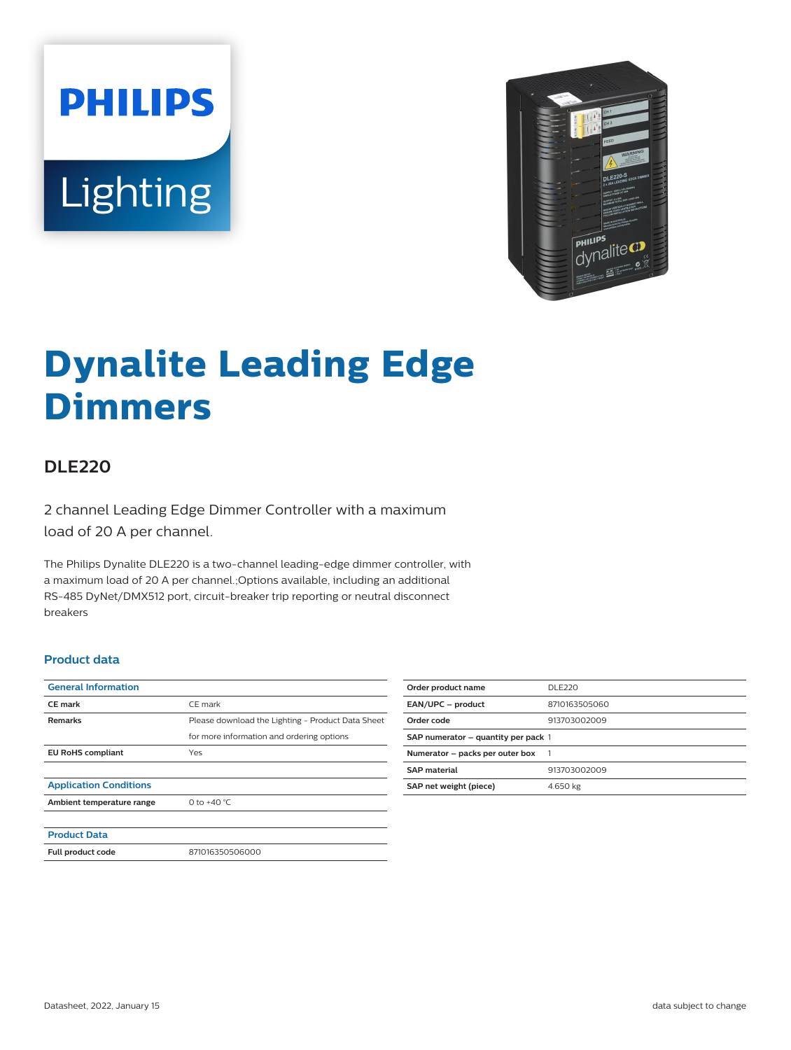**PHILIPS** Lighting



# **Dynalite Leading Edge Dimmers**

## **DLE220**

2 channel Leading Edge Dimmer Controller with a maximum load of 20 A per channel.

The Philips Dynalite DLE220 is a two-channel leading-edge dimmer controller, with a maximum load of 20 A per channel.;Options available, including an additional RS-485 DyNet/DMX512 port, circuit-breaker trip reporting or neutral disconnect breakers

#### **Product data**

| <b>General Information</b>    |                                                   |
|-------------------------------|---------------------------------------------------|
| <b>CE</b> mark                | CE mark                                           |
| <b>Remarks</b>                | Please download the Lighting - Product Data Sheet |
|                               | for more information and ordering options         |
| <b>EU RoHS compliant</b>      | Yes                                               |
|                               |                                                   |
| <b>Application Conditions</b> |                                                   |
| Ambient temperature range     | 0 to $+40 °C$                                     |
|                               |                                                   |
| <b>Product Data</b>           |                                                   |
| Full product code             | 871016350506000                                   |

| Order product name                  | DLE220        |
|-------------------------------------|---------------|
| EAN/UPC - product                   | 8710163505060 |
| Order code                          | 913703002009  |
| SAP numerator - quantity per pack 1 |               |
| Numerator - packs per outer box     |               |
| <b>SAP material</b>                 | 913703002009  |
| SAP net weight (piece)              | 4.650 kg      |
|                                     |               |